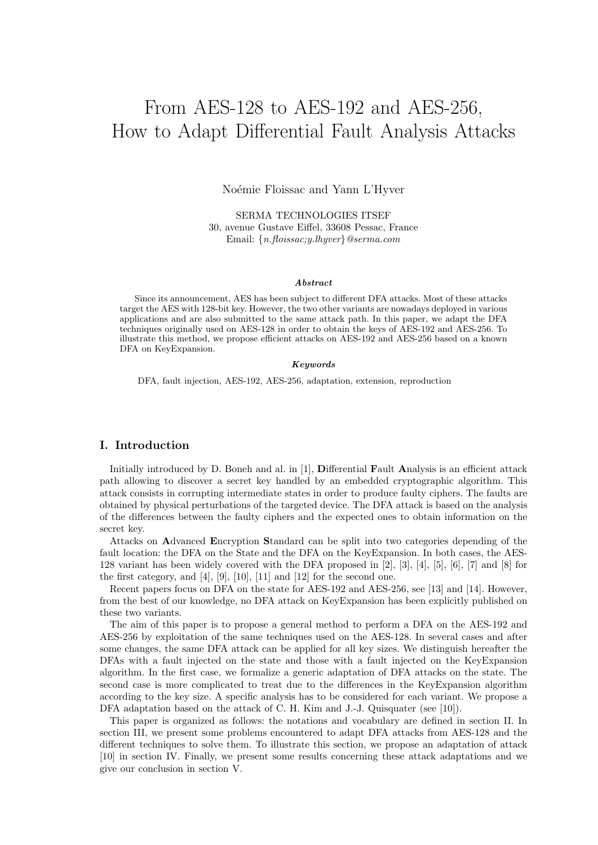# From AES-128 to AES-192 and AES-256, How to Adapt Differential Fault Analysis Attacks

Noémie Floissac and Yann L'Hyver

SERMA TECHNOLOGIES ITSEF 30, avenue Gustave Eiffel, 33608 Pessac, France Email: *{n.floissac;y.lhyver}@serma.com*

#### *Abstract*

Since its announcement, AES has been subject to different DFA attacks. Most of these attacks target the AES with 128-bit key. However, the two other variants are nowadays deployed in various applications and are also submitted to the same attack path. In this paper, we adapt the DFA techniques originally used on AES-128 in order to obtain the keys of AES-192 and AES-256. To illustrate this method, we propose efficient attacks on AES-192 and AES-256 based on a known DFA on KeyExpansion.

#### *Keywords*

DFA, fault injection, AES-192, AES-256, adaptation, extension, reproduction

# **I. Introduction**

Initially introduced by D. Boneh and al. in [1], **D**ifferential **F**ault **A**nalysis is an efficient attack path allowing to discover a secret key handled by an embedded cryptographic algorithm. This attack consists in corrupting intermediate states in order to produce faulty ciphers. The faults are obtained by physical perturbations of the targeted device. The DFA attack is based on the analysis of the differences between the faulty ciphers and the expected ones to obtain information on the secret key.

Attacks on **A**dvanced **E**ncryption **S**tandard can be split into two categories depending of the fault location: the DFA on the State and the DFA on the KeyExpansion. In both cases, the AES-128 variant has been widely covered with the DFA proposed in [2], [3], [4], [5], [6], [7] and [8] for the first category, and  $[4]$ ,  $[9]$ ,  $[10]$ ,  $[11]$  and  $[12]$  for the second one.

Recent papers focus on DFA on the state for AES-192 and AES-256, see [13] and [14]. However, from the best of our knowledge, no DFA attack on KeyExpansion has been explicitly published on these two variants.

The aim of this paper is to propose a general method to perform a DFA on the AES-192 and AES-256 by exploitation of the same techniques used on the AES-128. In several cases and after some changes, the same DFA attack can be applied for all key sizes. We distinguish hereafter the DFAs with a fault injected on the state and those with a fault injected on the KeyExpansion algorithm. In the first case, we formalize a generic adaptation of DFA attacks on the state. The second case is more complicated to treat due to the differences in the KeyExpansion algorithm according to the key size. A specific analysis has to be considered for each variant. We propose a DFA adaptation based on the attack of C. H. Kim and J.-J. Quisquater (see [10]).

This paper is organized as follows: the notations and vocabulary are defined in section II. In section III, we present some problems encountered to adapt DFA attacks from AES-128 and the different techniques to solve them. To illustrate this section, we propose an adaptation of attack [10] in section IV. Finally, we present some results concerning these attack adaptations and we give our conclusion in section V.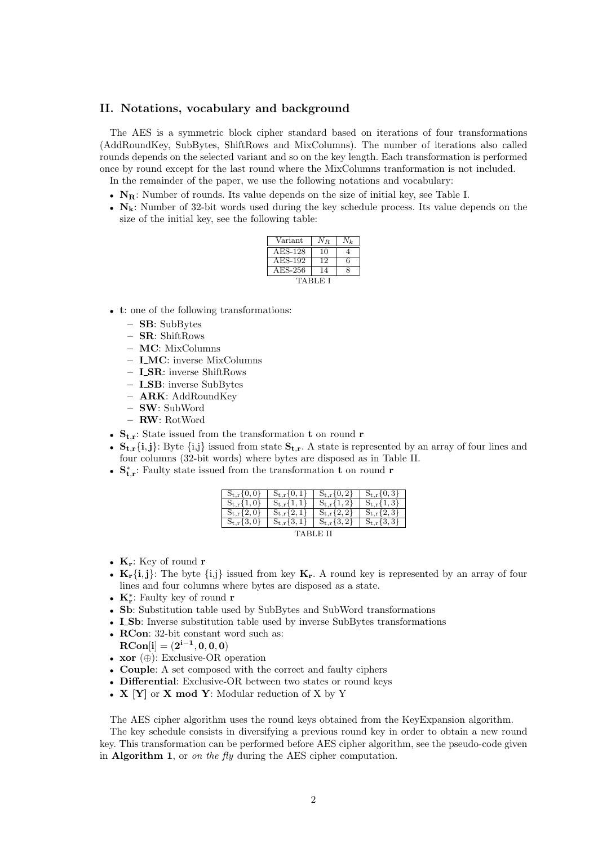## **II. Notations, vocabulary and background**

The AES is a symmetric block cipher standard based on iterations of four transformations (AddRoundKey, SubBytes, ShiftRows and MixColumns). The number of iterations also called rounds depends on the selected variant and so on the key length. Each transformation is performed once by round except for the last round where the MixColumns tranformation is not included. In the remainder of the paper, we use the following notations and vocabulary:

*•* **NR**: Number of rounds. Its value depends on the size of initial key, see Table I.

- 
- $N_k$ : Number of 32-bit words used during the key schedule process. Its value depends on the size of the initial key, see the following table:

| $\rm Variant$ | N R |   |  |
|---------------|-----|---|--|
| AES-128       | 10  |   |  |
| AES-192       | 12  | 6 |  |
| $AES-256$     |     | X |  |
| TABLE I       |     |   |  |

- *•* **t**: one of the following transformations:
	- **– SB**: SubBytes
	- **– SR**: ShiftRows
	- **– MC**: MixColumns
	- **– I MC**: inverse MixColumns
	- **– I SR**: inverse ShiftRows
	- **– I SB**: inverse SubBytes
	- **– ARK**: AddRoundKey
	- **– SW**: SubWord
	- **– RW**: RotWord
- $S_{t,r}$ : State issued from the transformation **t** on round **r**
- $S_{t,r}$   $\{i,j\}$ : Byte  $\{i,j\}$  issued from state  $S_{t,r}$ . A state is represented by an array of four lines and four columns (32-bit words) where bytes are disposed as in Table II.
- *•* **S** *∗* **t***,***r** : Faulty state issued from the transformation **t** on round **r**

| $S_{t,r}\{0,0\}$  | $S_{t,r}\{0,1\}$  | $S_{t,r}\{0,2\}$  | $S_{t,r}\{0,3\}$  |  |
|-------------------|-------------------|-------------------|-------------------|--|
| $S_{t,r}\{1,0\}$  | $S_{t,r} \{1,1\}$ | $S_{t,r} \{1,2\}$ | $S_{t,r} \{1,3\}$ |  |
| $S_{t,r}$ {2,0}   | $S_{t,r} \{2,1\}$ | $S_{t,r}$ {2,2}   | $S_{t,r} \{2,3\}$ |  |
| $S_{t,r} \{3,0\}$ | $S_{t,r} \{3,1\}$ | $S_{t,r} \{3,2\}$ | $S_{t,r} \{3,3\}$ |  |
| TABLE II          |                   |                   |                   |  |

- *•* **Kr**: Key of round **r**
- $\mathbf{K}_{\mathbf{r}}\{\mathbf{i},\mathbf{j}\}$ : The byte  $\{\mathbf{i},\mathbf{j}\}$  issued from key  $\mathbf{K}_{\mathbf{r}}$ . A round key is represented by an array of four lines and four columns where bytes are disposed as a state.
- *•* **K***<sup>∗</sup>* **r** : Faulty key of round **r**
- Sb: Substitution table used by SubBytes and SubWord transformations
- **I\_Sb**: Inverse substitution table used by inverse SubBytes transformations
- *•* **RCon**: 32-bit constant word such as:
- ${\bf RCon}[{\bf i}] = ({\bf 2}^{{\bf i} {\bf 1}}, {\bf 0}, {\bf 0}, {\bf 0})$
- *•* **xor** (*⊕*): Exclusive-OR operation
- *•* **Couple**: A set composed with the correct and faulty ciphers
- *•* **Differential**: Exclusive-OR between two states or round keys
- *•* **X [Y]** or **X mod Y**: Modular reduction of X by Y

The AES cipher algorithm uses the round keys obtained from the KeyExpansion algorithm.

The key schedule consists in diversifying a previous round key in order to obtain a new round key. This transformation can be performed before AES cipher algorithm, see the pseudo-code given in **Algorithm 1**, or *on the fly* during the AES cipher computation.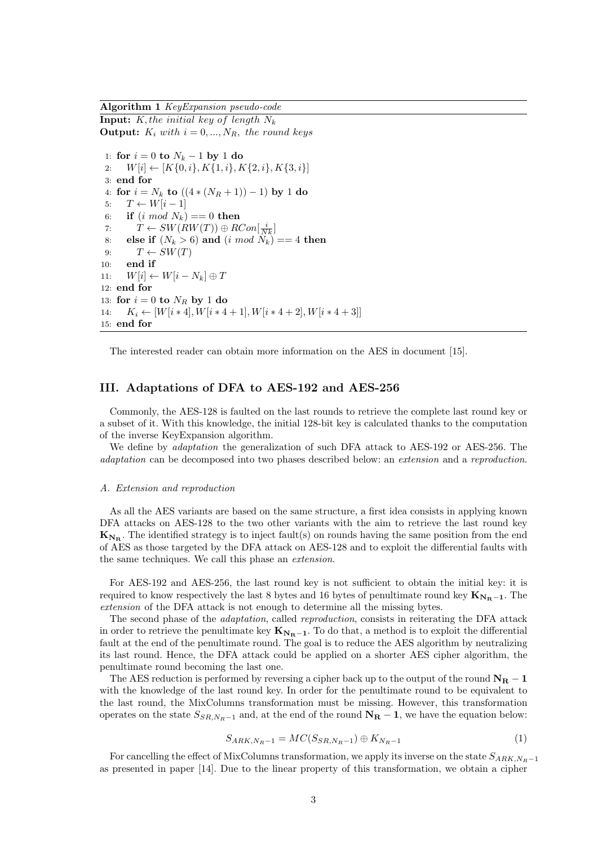**Algorithm 1** *KeyExpansion pseudo-code* **Input:** *K, the initial key of length N<sup>k</sup>* **Output:**  $K_i$  *with*  $i = 0, ..., N_R$ *, the round keys* 

1: **for**  $i = 0$  **to**  $N_k - 1$  **by** 1 **do** 2: *W*[*i*] *←* [*K{*0*, i}, K{*1*, i}, K{*2*, i}, K{*3*, i}*] 3: **end for** 4: **for**  $i = N_k$  **to**  $((4*(N_R+1))-1)$  **by** 1 **do** 5:  $T \leftarrow W[i-1]$ 6: **if**  $(i \mod N_k) == 0$  **then** 7:  $T \leftarrow SW(RW(T)) \oplus RCon[\frac{i}{Nk}]$ 8: **else if**  $(N_k > 6)$  and  $(i \mod N_k) == 4$  then 9:  $T \leftarrow SW(T)$ 10: **end if** 11:  $W[i] \leftarrow W[i - N_k] \oplus T$ 12: **end for** 13: **for**  $i = 0$  **to**  $N_R$  **by** 1 **do** 14:  $K_i \leftarrow [W[i * 4], W[i * 4 + 1], W[i * 4 + 2], W[i * 4 + 3]$ 15: **end for**

The interested reader can obtain more information on the AES in document [15].

## **III. Adaptations of DFA to AES-192 and AES-256**

Commonly, the AES-128 is faulted on the last rounds to retrieve the complete last round key or a subset of it. With this knowledge, the initial 128-bit key is calculated thanks to the computation of the inverse KeyExpansion algorithm.

We define by *adaptation* the generalization of such DFA attack to AES-192 or AES-256. The *adaptation* can be decomposed into two phases described below: an *extension* and a *reproduction*.

#### *A. Extension and reproduction*

As all the AES variants are based on the same structure, a first idea consists in applying known DFA attacks on AES-128 to the two other variants with the aim to retrieve the last round key  $\mathbf{K}_{N_{\mathbf{B}}}$ . The identified strategy is to inject fault(s) on rounds having the same position from the end of AES as those targeted by the DFA attack on AES-128 and to exploit the differential faults with the same techniques. We call this phase an *extension*.

For AES-192 and AES-256, the last round key is not sufficient to obtain the initial key: it is required to know respectively the last 8 bytes and 16 bytes of penultimate round key  $\mathbf{K}_{N_{\mathbf{R}}-1}$ . The *extension* of the DFA attack is not enough to determine all the missing bytes.

The second phase of the *adaptation*, called *reproduction*, consists in reiterating the DFA attack in order to retrieve the penultimate key  $\mathbf{K}_{N_{\mathbf{R}}-1}$ . To do that, a method is to exploit the differential fault at the end of the penultimate round. The goal is to reduce the AES algorithm by neutralizing its last round. Hence, the DFA attack could be applied on a shorter AES cipher algorithm, the penultimate round becoming the last one.

The AES reduction is performed by reversing a cipher back up to the output of the round  $N_R - 1$ with the knowledge of the last round key. In order for the penultimate round to be equivalent to the last round, the MixColumns transformation must be missing. However, this transformation operates on the state  $S_{SR,N_R-1}$  and, at the end of the round  $N_R-1$ , we have the equation below:

$$
S_{ARK,N_R-1} = MC(S_{SR,N_R-1}) \oplus K_{N_R-1}
$$
 (1)

For cancelling the effect of MixColumns transformation, we apply its inverse on the state *SARK,NR−*<sup>1</sup> as presented in paper [14]. Due to the linear property of this transformation, we obtain a cipher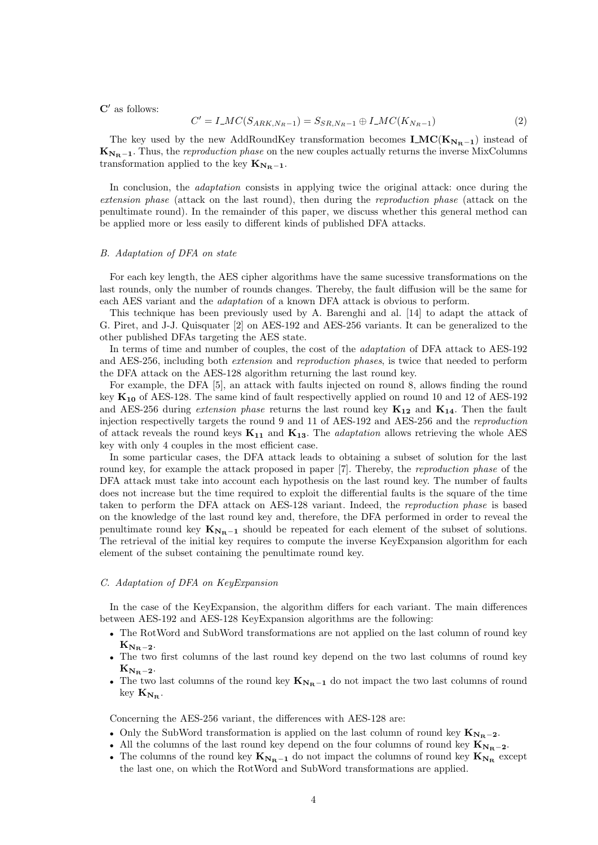**C***′* as follows:

$$
C' = I\_MC(S_{ARK,N_R-1}) = S_{SR,N_R-1} \oplus I\_MC(K_{N_R-1})
$$
\n(2)

The key used by the new AddRoundKey transformation becomes  $\mathbf{LMC(K_{N_{\rm\bf{F}}-1})}$  instead of  $\mathbf{K}_{N_{\mathbf{R}}-1}$ . Thus, the *reproduction phase* on the new couples actually returns the inverse MixColumns transformation applied to the key  $K_{N_R-1}$ .

In conclusion, the *adaptation* consists in applying twice the original attack: once during the *extension phase* (attack on the last round), then during the *reproduction phase* (attack on the penultimate round). In the remainder of this paper, we discuss whether this general method can be applied more or less easily to different kinds of published DFA attacks.

#### *B. Adaptation of DFA on state*

For each key length, the AES cipher algorithms have the same sucessive transformations on the last rounds, only the number of rounds changes. Thereby, the fault diffusion will be the same for each AES variant and the *adaptation* of a known DFA attack is obvious to perform.

This technique has been previously used by A. Barenghi and al. [14] to adapt the attack of G. Piret, and J-J. Quisquater [2] on AES-192 and AES-256 variants. It can be generalized to the other published DFAs targeting the AES state.

In terms of time and number of couples, the cost of the *adaptation* of DFA attack to AES-192 and AES-256, including both *extension* and *reproduction phases*, is twice that needed to perform the DFA attack on the AES-128 algorithm returning the last round key.

For example, the DFA [5], an attack with faults injected on round 8, allows finding the round key **K<sup>10</sup>** of AES-128. The same kind of fault respectivelly applied on round 10 and 12 of AES-192 and AES-256 during *extension phase* returns the last round key **K<sup>12</sup>** and **K14**. Then the fault injection respectivelly targets the round 9 and 11 of AES-192 and AES-256 and the *reproduction* of attack reveals the round keys **K<sup>11</sup>** and **K13**. The *adaptation* allows retrieving the whole AES key with only 4 couples in the most efficient case.

In some particular cases, the DFA attack leads to obtaining a subset of solution for the last round key, for example the attack proposed in paper [7]. Thereby, the *reproduction phase* of the DFA attack must take into account each hypothesis on the last round key. The number of faults does not increase but the time required to exploit the differential faults is the square of the time taken to perform the DFA attack on AES-128 variant. Indeed, the *reproduction phase* is based on the knowledge of the last round key and, therefore, the DFA performed in order to reveal the penultimate round key  $K_{N_R-1}$  should be repeated for each element of the subset of solutions. The retrieval of the initial key requires to compute the inverse KeyExpansion algorithm for each element of the subset containing the penultimate round key.

## *C. Adaptation of DFA on KeyExpansion*

In the case of the KeyExpansion, the algorithm differs for each variant. The main differences between AES-192 and AES-128 KeyExpansion algorithms are the following:

- The RotWord and SubWord transformations are not applied on the last column of round key  $K_{N_{\rm B}-2}$ .
- The two first columns of the last round key depend on the two last columns of round key  $K_{N_{\rm B}-2}$ .
- The two last columns of the round key  $\mathbf{K}_{N_{\mathbf{R}}-1}$  do not impact the two last columns of round  $key$   $K_{N_{\rm B}}$ .

Concerning the AES-256 variant, the differences with AES-128 are:

- *•* Only the SubWord transformation is applied on the last column of round key **K<sup>N</sup>R***−***<sup>2</sup>**.
- *•* All the columns of the last round key depend on the four columns of round key **K<sup>N</sup>R***−***<sup>2</sup>**.
- The columns of the round key  $\mathbf{K}_{N_{\mathbf{R}}-1}$  do not impact the columns of round key  $\mathbf{K}_{N_{\mathbf{R}}}$  except the last one, on which the RotWord and SubWord transformations are applied.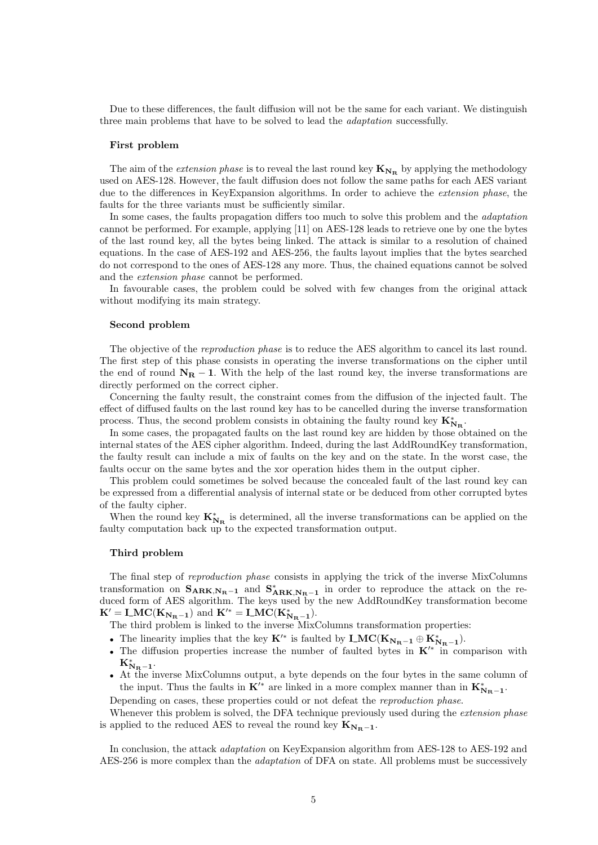Due to these differences, the fault diffusion will not be the same for each variant. We distinguish three main problems that have to be solved to lead the *adaptation* successfully.

#### **First problem**

The aim of the *extension phase* is to reveal the last round key  $K_{N_R}$  by applying the methodology used on AES-128. However, the fault diffusion does not follow the same paths for each AES variant due to the differences in KeyExpansion algorithms. In order to achieve the *extension phase*, the faults for the three variants must be sufficiently similar.

In some cases, the faults propagation differs too much to solve this problem and the *adaptation* cannot be performed. For example, applying [11] on AES-128 leads to retrieve one by one the bytes of the last round key, all the bytes being linked. The attack is similar to a resolution of chained equations. In the case of AES-192 and AES-256, the faults layout implies that the bytes searched do not correspond to the ones of AES-128 any more. Thus, the chained equations cannot be solved and the *extension phase* cannot be performed.

In favourable cases, the problem could be solved with few changes from the original attack without modifying its main strategy.

## **Second problem**

The objective of the *reproduction phase* is to reduce the AES algorithm to cancel its last round. The first step of this phase consists in operating the inverse transformations on the cipher until the end of round **N<sup>R</sup>** *−* **1**. With the help of the last round key, the inverse transformations are directly performed on the correct cipher.

Concerning the faulty result, the constraint comes from the diffusion of the injected fault. The effect of diffused faults on the last round key has to be cancelled during the inverse transformation process. Thus, the second problem consists in obtaining the faulty round key  $K^*_{N_R}$ .

In some cases, the propagated faults on the last round key are hidden by those obtained on the internal states of the AES cipher algorithm. Indeed, during the last AddRoundKey transformation, the faulty result can include a mix of faults on the key and on the state. In the worst case, the faults occur on the same bytes and the xor operation hides them in the output cipher.

This problem could sometimes be solved because the concealed fault of the last round key can be expressed from a differential analysis of internal state or be deduced from other corrupted bytes of the faulty cipher.

When the round key  $K_{N_R}^*$  is determined, all the inverse transformations can be applied on the faulty computation back up to the expected transformation output.

#### **Third problem**

The final step of *reproduction phase* consists in applying the trick of the inverse MixColumns transformation on  $S_{ARK,N_R-1}$  and  $S_{ARK,N_R-1}^*$  in order to reproduce the attack on the reduced form of AES algorithm. The keys used by the new AddRoundKey transformation become  $\mathbf{K}' = \mathbf{LMC}(\mathbf{K}_{\mathbf{N}_{\mathbf{R}}-1})$  and  $\mathbf{K}'^* = \mathbf{LMC}(\mathbf{K}_{\mathbf{N}_{\mathbf{R}}-1}^*)$ .

The third problem is linked to the inverse MixColumns transformation properties:

- **•** The linearity implies that the key  $\mathbf{K}'^*$  is faulted by  $\mathbf{LMC}(\mathbf{K}_{\mathbf{N_R}-1} \oplus \mathbf{K}_{\mathbf{N_R}-1}^*).$
- *•* The diffusion properties increase the number of faulted bytes in **K***′∗* in comparison with  $K_{N_{\rm R}-1}^*$ .
- At the inverse MixColumns output, a byte depends on the four bytes in the same column of the input. Thus the faults in  $K'^*$  are linked in a more complex manner than in  $K^*_{N_R-1}$ .

Depending on cases, these properties could or not defeat the *reproduction phase*.

Whenever this problem is solved, the DFA technique previously used during the *extension phase* is applied to the reduced AES to reveal the round key  $K_{N_{\rm R}-1}$ .

In conclusion, the attack *adaptation* on KeyExpansion algorithm from AES-128 to AES-192 and AES-256 is more complex than the *adaptation* of DFA on state. All problems must be successively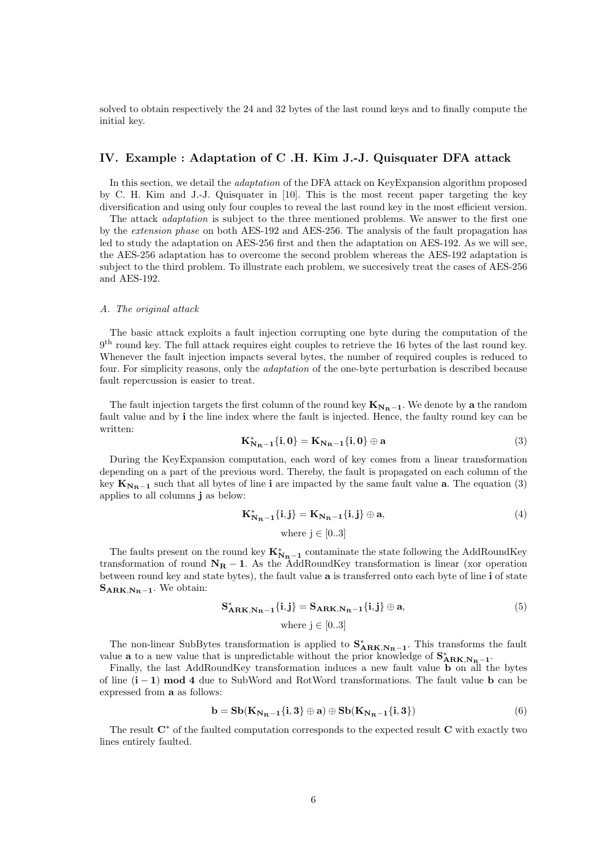solved to obtain respectively the 24 and 32 bytes of the last round keys and to finally compute the initial key.

# **IV. Example : Adaptation of C .H. Kim J.-J. Quisquater DFA attack**

In this section, we detail the *adaptation* of the DFA attack on KeyExpansion algorithm proposed by C. H. Kim and J.-J. Quisquater in [10]. This is the most recent paper targeting the key diversification and using only four couples to reveal the last round key in the most efficient version.

The attack *adaptation* is subject to the three mentioned problems. We answer to the first one by the *extension phase* on both AES-192 and AES-256. The analysis of the fault propagation has led to study the adaptation on AES-256 first and then the adaptation on AES-192. As we will see, the AES-256 adaptation has to overcome the second problem whereas the AES-192 adaptation is subject to the third problem. To illustrate each problem, we succesively treat the cases of AES-256 and AES-192.

#### *A. The original attack*

The basic attack exploits a fault injection corrupting one byte during the computation of the 9 th round key. The full attack requires eight couples to retrieve the 16 bytes of the last round key. Whenever the fault injection impacts several bytes, the number of required couples is reduced to four. For simplicity reasons, only the *adaptation* of the one-byte perturbation is described because fault repercussion is easier to treat.

The fault injection targets the first column of the round key  $K_{N_R-1}$ . We denote by a the random fault value and by **i** the line index where the fault is injected. Hence, the faulty round key can be written:

$$
K_{N_{R}-1}^{*}\{i,0\} = K_{N_{R}-1}\{i,0\} \oplus a
$$
 (3)

During the KeyExpansion computation, each word of key comes from a linear transformation depending on a part of the previous word. Thereby, the fault is propagated on each column of the key  $\mathbf{K}_{N_{\mathbf{R}-1}}$  such that all bytes of line **i** are impacted by the same fault value **a**. The equation (3) applies to all columns **j** as below:

$$
\mathbf{K}_{\mathbf{N}_{\mathbf{R}-1}}^* \{i, j\} = \mathbf{K}_{\mathbf{N}_{\mathbf{R}-1}} \{i, j\} \oplus \mathbf{a},
$$
\n(4)

\nwhere  $j \in [0..3]$ 

The faults present on the round key  $K_{N_R-1}^*$  contaminate the state following the AddRoundKey transformation of round **N<sup>R</sup>** *−* **1**. As the AddRoundKey transformation is linear (xor operation between round key and state bytes), the fault value **a** is transferred onto each byte of line **i** of state  $\mathbf{S}_{\mathbf{ARK},\mathbf{N_B}-1}$ . We obtain:

$$
\mathbf{S}_{\mathbf{ARK},\mathbf{N}_{\mathbf{R}}-1}^{\ast}\{\mathbf{i},\mathbf{j}\} = \mathbf{S}_{\mathbf{ARK},\mathbf{N}_{\mathbf{R}}-1}\{\mathbf{i},\mathbf{j}\} \oplus \mathbf{a},\tag{5}
$$
  
where  $\mathbf{j} \in [0..3]$ 

The non-linear SubBytes transformation is applied to  $S^*_{ARK,N_R-1}$ . This transforms the fault value **a** to a new value that is unpredictable without the prior knowledge of  $S^*_{ARK,N_R-1}$ .

Finally, the last AddRoundKey transformation induces a new fault value **b** on all the bytes of line (**i** *−* **1**) **mod 4** due to SubWord and RotWord transformations. The fault value **b** can be expressed from **a** as follows:

$$
\mathbf{b} = \mathbf{S}\mathbf{b}(\mathbf{K}_{\mathbf{N}_{\mathbf{R}}-1}\{\mathbf{i},\mathbf{3}\} \oplus \mathbf{a}) \oplus \mathbf{S}\mathbf{b}(\mathbf{K}_{\mathbf{N}_{\mathbf{R}}-1}\{\mathbf{i},\mathbf{3}\})
$$
(6)

The result **C***<sup>∗</sup>* of the faulted computation corresponds to the expected result **C** with exactly two lines entirely faulted.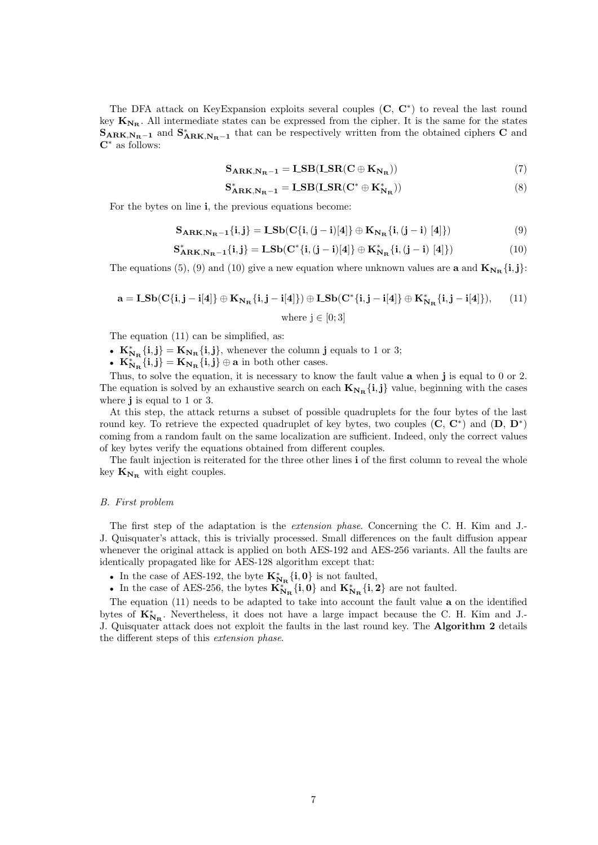The DFA attack on KeyExpansion exploits several couples (**C**, **C***<sup>∗</sup>* ) to reveal the last round key  $K_{N_{\rm B}}$ . All intermediate states can be expressed from the cipher. It is the same for the states  $\mathbf{S}_{\mathbf{ARK},\mathbf{N_R}-1}$  and  $\mathbf{S}_{\mathbf{ARK},\mathbf{N_R}-1}$  that can be respectively written from the obtained ciphers **C** and **C***<sup>∗</sup>* as follows:

$$
S_{ARK,N_R-1} = LSB(LSR(C \oplus K_{N_R}))
$$
\n(7)

$$
\mathbf{S}_{\mathbf{ARK},\mathbf{N}_{\mathbf{R}}-1}^* = \mathbf{LSB}(\mathbf{LSR}(\mathbf{C}^* \oplus \mathbf{K}_{\mathbf{N}_{\mathbf{R}}}^*))
$$
(8)

For the bytes on line **i**, the previous equations become:

$$
\mathbf{S}_{\mathbf{ARK},\mathbf{N}_{\mathbf{R}}-1}\{\mathbf{i},\mathbf{j}\}=\mathbf{L}\mathbf{S}\mathbf{b}(\mathbf{C}\{\mathbf{i},(\mathbf{j}-\mathbf{i})[4]\}\oplus\mathbf{K}_{\mathbf{N}_{\mathbf{R}}}\{\mathbf{i},(\mathbf{j}-\mathbf{i})[4]\})
$$
(9)

$$
\mathbf{S}_{\mathbf{ARK},\mathbf{N}_{\mathbf{R}}-1}^* \{i,j\} = \mathbf{L} \mathbf{S} \mathbf{b} (\mathbf{C}^* \{i,(j-i)[4]\} \oplus \mathbf{K}_{\mathbf{N}_{\mathbf{R}}}^* \{i,(j-i)[4]\})
$$
(10)

The equations (5), (9) and (10) give a new equation where unknown values are **a** and  $\mathbf{K}_{N_{\mathbf{R}}} \{i, j\}$ :

$$
\mathbf{a} = \mathbf{L} \mathbf{S} \mathbf{b} (\mathbf{C} \{ \mathbf{i}, \mathbf{j} - \mathbf{i} [4] \} \oplus \mathbf{K}_{\mathbf{N}_{\mathbf{R}}} \{ \mathbf{i}, \mathbf{j} - \mathbf{i} [4] \}) \oplus \mathbf{L} \mathbf{S} \mathbf{b} (\mathbf{C}^* \{ \mathbf{i}, \mathbf{j} - \mathbf{i} [4] \} \oplus \mathbf{K}_{\mathbf{N}_{\mathbf{R}}}^* \{ \mathbf{i}, \mathbf{j} - \mathbf{i} [4] \}), \qquad (11)
$$
\nwhere  $\mathbf{j} \in [0; 3]$ 

The equation (11) can be simplified, as:

- $K_{N_{\mathbf{R}}}^{*}\{\mathbf{i},\mathbf{j}\} = K_{N_{\mathbf{R}}} \{\mathbf{i},\mathbf{j}\},\$  whenever the column **j** equals to 1 or 3;
- $K_{N_{\mathbf{R}}}^{*} \{i, j\} = K_{N_{\mathbf{R}}} \{i, j\} \oplus \mathbf{a}$  in both other cases.

Thus, to solve the equation, it is necessary to know the fault value **a** when **j** is equal to 0 or 2. The equation is solved by an exhaustive search on each  $\mathbf{K}_{N_{\mathbf{R}}} \{i, j\}$  value, beginning with the cases where **j** is equal to 1 or 3.

At this step, the attack returns a subset of possible quadruplets for the four bytes of the last round key. To retrieve the expected quadruplet of key bytes, two couples (**C**, **C***<sup>∗</sup>* ) and (**D**, **D***<sup>∗</sup>* ) coming from a random fault on the same localization are sufficient. Indeed, only the correct values of key bytes verify the equations obtained from different couples.

The fault injection is reiterated for the three other lines **i** of the first column to reveal the whole key  $K_{N_R}$  with eight couples.

#### *B. First problem*

The first step of the adaptation is the *extension phase*. Concerning the C. H. Kim and J.- J. Quisquater's attack, this is trivially processed. Small differences on the fault diffusion appear whenever the original attack is applied on both AES-192 and AES-256 variants. All the faults are identically propagated like for AES-128 algorithm except that:

- In the case of AES-192, the byte  $\mathbf{K}_{\mathbf{N}_{\mathbf{R}}}^* \{i, 0\}$  is not faulted,
- In the case of AES-256, the bytes  $K^*_{N_R}$   $\{i, 0\}$  and  $K^*_{N_R}$   $\{i, 2\}$  are not faulted.

The equation (11) needs to be adapted to take into account the fault value **a** on the identified bytes of  $K^*_{N_R}$ . Nevertheless, it does not have a large impact because the C. H. Kim and J.-J. Quisquater attack does not exploit the faults in the last round key. The **Algorithm 2** details the different steps of this *extension phase*.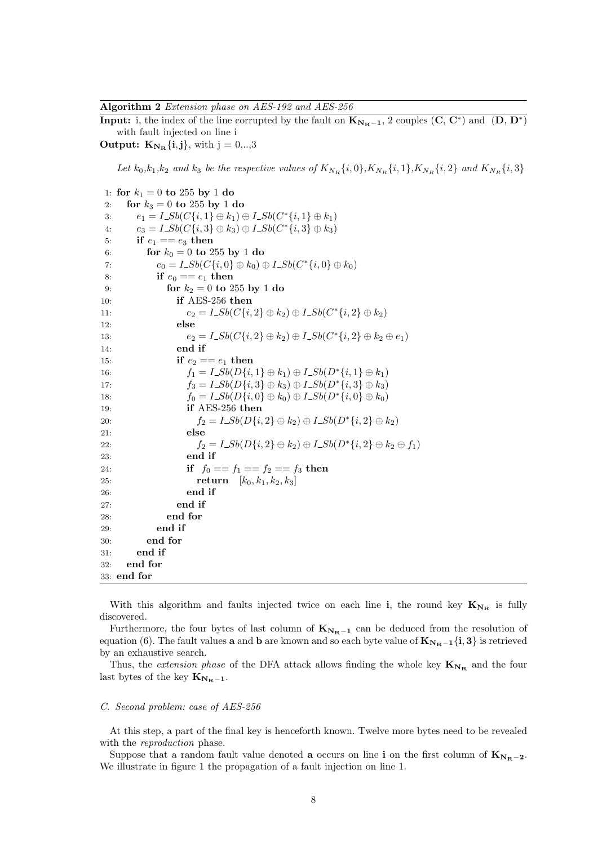**Algorithm 2** *Extension phase on AES-192 and AES-256*

**Input:** i, the index of the line corrupted by the fault on  $\mathbf{K}_{N_{\mathbf{R}}-1}$ , 2 couples  $(\mathbf{C}, \mathbf{C}^*)$  and  $(\mathbf{D}, \mathbf{D}^*)$ with fault injected on line i

**Output:**  $\mathbf{K}_{N_{\mathbf{R}}} \{i, j\}$ , with  $j = 0, \ldots, 3$ 

Let  $k_0, k_1, k_2$  and  $k_3$  be the respective values of  $K_{N_R}\{i, 0\}$ ,  $K_{N_R}\{i, 1\}$ ,  $K_{N_R}\{i, 2\}$  and  $K_{N_R}\{i, 3\}$ 

1: **for**  $k_1 = 0$  **to** 255 **by** 1 **do** 2: **for**  $k_3 = 0$  **to** 255 **by** 1 **do** 3:  $e_1 = I\_Sb(C{i,1} \oplus k_1) \oplus I\_Sb(C^*[i,1] \oplus k_1)$  $e_3 = I\_Sb(C{i, 3} \oplus k_3) \oplus I\_Sb(C^*[i,3] \oplus k_3)$ 5: **if**  $e_1 == e_3$  then 6: **for**  $k_0 = 0$  **to** 255 **by** 1 **do**  $e_0 = I\_Sb(C\{i, 0\} \oplus k_0) \oplus I\_Sb(C^*\{i, 0\} \oplus k_0)$ 8: **if**  $e_0 == e_1$  **then** 9: **for**  $k_2 = 0$  **to** 255 **by** 1 **do** 10: **if** AES-256 **then** 11:  $e_2 = I\_Sb(C\{i, 2\} \oplus k_2) \oplus I\_Sb(C^*\{i, 2\} \oplus k_2)$ 12: **else** 13:  $e_2 = I\_Sb(C\{i, 2\} \oplus k_2) \oplus I\_Sb(C^*\{i, 2\} \oplus k_2 \oplus e_1)$ 14: **end if** 15: **if**  $e_2 == e_1$  **then** 16:  $f_1 = I\_Sb(D{i,1} \oplus k_1) \oplus I\_Sb(D^*{i,1} \oplus k_1)$ 17:  $f_3 = I\_Sb(D{i, 3} \oplus k_3) \oplus I\_Sb(D^*[i, 3] \oplus k_3)$ 18:  $f_0 = I\_Sb(D\{i, 0\} \oplus k_0) \oplus I\_Sb(D^*\{i, 0\} \oplus k_0)$ 19: **if** AES-256 **then** 20:  $f_2 = I \_Sb(D\{i, 2\} \oplus k_2) \oplus I \_Sb(D^*\{i, 2\} \oplus k_2)$ 21: **else** 22:  $f_2 = I\_Sb(D{i, 2} \oplus k_2) \oplus I\_Sb(D^*[i, 2] \oplus k_2 \oplus f_1)$ 23: **end if** 24: **if**  $f_0 == f_1 == f_2 == f_3$  then 25: **return** [*k*0*, k*1*, k*2*, k*3] 26: **end if** 27: **end if** 28: **end for** 29: **end if** 30: **end for** 31: **end if** 32: **end for** 33: **end for**

With this algorithm and faults injected twice on each line **i**, the round key  $K_{N_R}$  is fully discovered.

Furthermore, the four bytes of last column of  $K_{N<sub>R</sub>−1}$  can be deduced from the resolution of equation (6). The fault values **a** and **b** are known and so each byte value of  $K_{N_R-1}{i, 3}$  is retrieved by an exhaustive search.

Thus, the *extension phase* of the DFA attack allows finding the whole key  $K_{N_R}$  and the four last bytes of the key  $K_{N_R-1}$ .

## *C. Second problem: case of AES-256*

At this step, a part of the final key is henceforth known. Twelve more bytes need to be revealed with the *reproduction* phase.

Suppose that a random fault value denoted **a** occurs on line **i** on the first column of  $K_{N_{\rm B}-2}$ . We illustrate in figure 1 the propagation of a fault injection on line 1.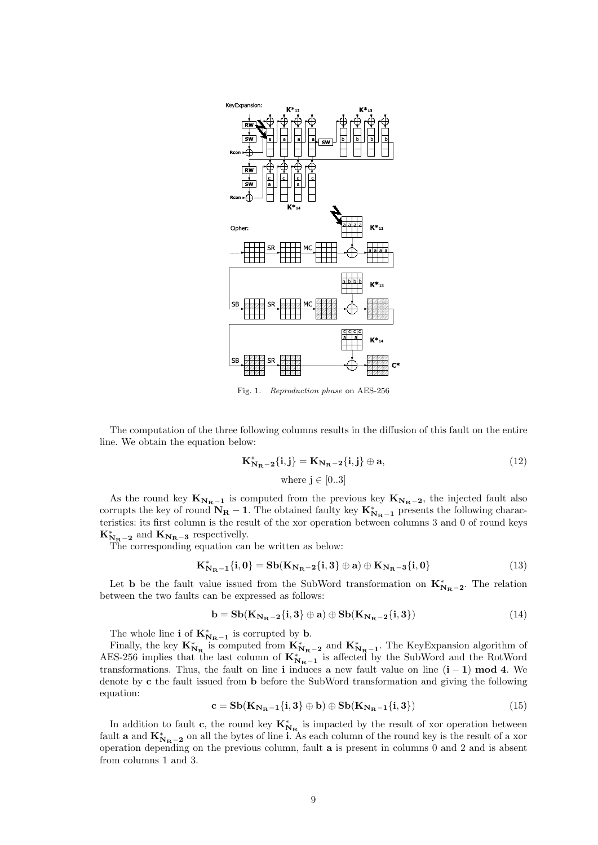

Fig. 1. *Reproduction phase* on AES-256

The computation of the three following columns results in the diffusion of this fault on the entire line. We obtain the equation below:

$$
\mathbf{K}_{\mathbf{N}_{\mathbf{R}}-2}^* \{i, j\} = \mathbf{K}_{\mathbf{N}_{\mathbf{R}}-2} \{i, j\} \oplus \mathbf{a},\tag{12}
$$
\nwhere  $j \in [0..3]$ 

As the round key  $K_{N_R-1}$  is computed from the previous key  $K_{N_R-2}$ , the injected fault also corrupts the key of round  $N_R - 1$ . The obtained faulty key  $K_{N_R-1}^*$  presents the following characteristics: its first column is the result of the xor operation between columns 3 and 0 of round keys  $K_{\mathbf{N_{R}}-2}^{*}$  and  $K_{\mathbf{N_{R}}-3}$  respectivelly.

The corresponding equation can be written as below:

$$
K_{N_{R}-1}^{*}\{i,0\} = Sb(K_{N_{R}-2}\{i,3\} \oplus a) \oplus K_{N_{R}-3}\{i,0\}
$$
 (13)

Let **b** be the fault value issued from the SubWord transformation on  $K_{N_{R}-2}^{*}$ . The relation between the two faults can be expressed as follows:

$$
\mathbf{b} = \mathbf{S}\mathbf{b}(\mathbf{K}_{\mathbf{N}_{\mathbf{R}} - 2}\{\mathbf{i}, \mathbf{3}\} \oplus \mathbf{a}) \oplus \mathbf{S}\mathbf{b}(\mathbf{K}_{\mathbf{N}_{\mathbf{R}} - 2}\{\mathbf{i}, \mathbf{3}\})
$$
(14)

The whole line **i** of  $\mathbf{K}_{N_{\mathbf{R}}-1}^*$  is corrupted by **b**.

Finally, the key  $\mathbf{K}_{N_{\mathbf{R}}}^{*}$  is computed from  $\mathbf{K}_{N_{\mathbf{R}}-2}^{*}$  and  $\mathbf{K}_{N_{\mathbf{R}}-1}^{*}$ . The KeyExpansion algorithm of AES-256 implies that the last column of  $K_{N_{R}-1}^{*}$  is affected by the SubWord and the RotWord transformations. Thus, the fault on line **i** induces a new fault value on line  $(i - 1)$  **mod 4**. We denote by **c** the fault issued from **b** before the SubWord transformation and giving the following equation:

$$
\mathbf{c} = \mathbf{S}\mathbf{b}(\mathbf{K}_{\mathbf{N}_{\mathbf{R}}-1}\{\mathbf{i},\mathbf{3}\} \oplus \mathbf{b}) \oplus \mathbf{S}\mathbf{b}(\mathbf{K}_{\mathbf{N}_{\mathbf{R}}-1}\{\mathbf{i},\mathbf{3}\})
$$
(15)

In addition to fault **c**, the round key  $K_{N_R}^*$  is impacted by the result of xor operation between fault **a** and  $\mathbf{K}_{\mathbf{N}_{\mathbf{R}}-\mathbf{2}}^*$  on all the bytes of line **i**. As each column of the round key is the result of a xor operation depending on the previous column, fault **a** is present in columns 0 and 2 and is absent from columns 1 and 3.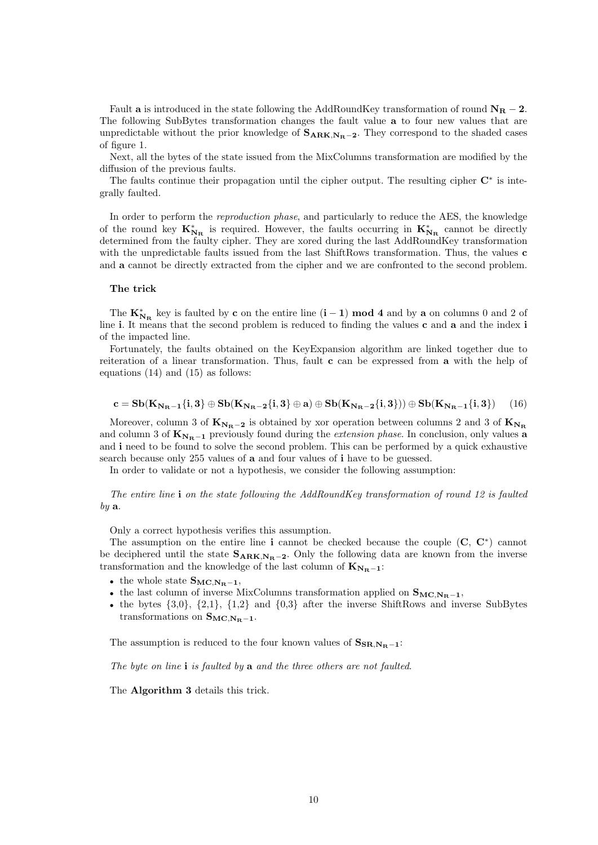Fault **a** is introduced in the state following the AddRoundKey transformation of round  $N_R - 2$ . The following SubBytes transformation changes the fault value **a** to four new values that are unpredictable without the prior knowledge of **SARK***,***NR***−***<sup>2</sup>**. They correspond to the shaded cases of figure 1.

Next, all the bytes of the state issued from the MixColumns transformation are modified by the diffusion of the previous faults.

The faults continue their propagation until the cipher output. The resulting cipher  $\mathbb{C}^*$  is integrally faulted.

In order to perform the *reproduction phase*, and particularly to reduce the AES, the knowledge of the round key  $K_{N_R}^*$  is required. However, the faults occurring in  $K_{N_R}^*$  cannot be directly determined from the faulty cipher. They are xored during the last AddRoundKey transformation with the unpredictable faults issued from the last ShiftRows transformation. Thus, the values **c** and **a** cannot be directly extracted from the cipher and we are confronted to the second problem.

#### **The trick**

The  $K_{N_R}^*$  key is faulted by **c** on the entire line  $(i - 1)$  **mod 4** and by **a** on columns 0 and 2 of line **i**. It means that the second problem is reduced to finding the values **c** and **a** and the index **i** of the impacted line.

Fortunately, the faults obtained on the KeyExpansion algorithm are linked together due to reiteration of a linear transformation. Thus, fault **c** can be expressed from **a** with the help of equations (14) and (15) as follows:

$$
\mathbf{c} = \mathbf{S}\mathbf{b}(\mathbf{K}_{\mathbf{N}_{\mathbf{R}}-1}\{\mathbf{i},\mathbf{3}\} \oplus \mathbf{S}\mathbf{b}(\mathbf{K}_{\mathbf{N}_{\mathbf{R}}-2}\{\mathbf{i},\mathbf{3}\} \oplus \mathbf{a}) \oplus \mathbf{S}\mathbf{b}(\mathbf{K}_{\mathbf{N}_{\mathbf{R}}-2}\{\mathbf{i},\mathbf{3}\}) (\mathbf{a}) \oplus \mathbf{S}\mathbf{b}(\mathbf{K}_{\mathbf{N}_{\mathbf{R}}-1}\{\mathbf{i},\mathbf{3}\}) \tag{16}
$$

Moreover, column 3 of  $\mathbf{K}_{N_R-2}$  is obtained by xor operation between columns 2 and 3 of  $\mathbf{K}_{N_R}$ and column 3 of **K<sup>N</sup>R***−***<sup>1</sup>** previously found during the *extension phase*. In conclusion, only values **a** and **i** need to be found to solve the second problem. This can be performed by a quick exhaustive search because only 255 values of **a** and four values of **i** have to be guessed.

In order to validate or not a hypothesis, we consider the following assumption:

*The entire line* **i** *on the state following the AddRoundKey transformation of round 12 is faulted by* **a**.

Only a correct hypothesis verifies this assumption.

The assumption on the entire line **i** cannot be checked because the couple (**C**, **C***<sup>∗</sup>* ) cannot be deciphered until the state  $S_{ARK,N_R-2}$ . Only the following data are known from the inverse transformation and the knowledge of the last column of  $K_{N_R-1}$ :

- $\bullet$  the whole state  $\mathbf{S_{MC,N_R-1}},$
- *•* the last column of inverse MixColumns transformation applied on **SMC***,***NR***−***<sup>1</sup>**,
- *•* the bytes *{*3,0*}*, *{*2,1*}*, *{*1,2*}* and *{*0,3*}* after the inverse ShiftRows and inverse SubBytes transformations on  $S_{MC,N_R-1}$ .

The assumption is reduced to the four known values of  $S_{SR,N_{R}-1}$ :

*The byte on line* **i** *is faulted by* **a** *and the three others are not faulted*.

The **Algorithm 3** details this trick.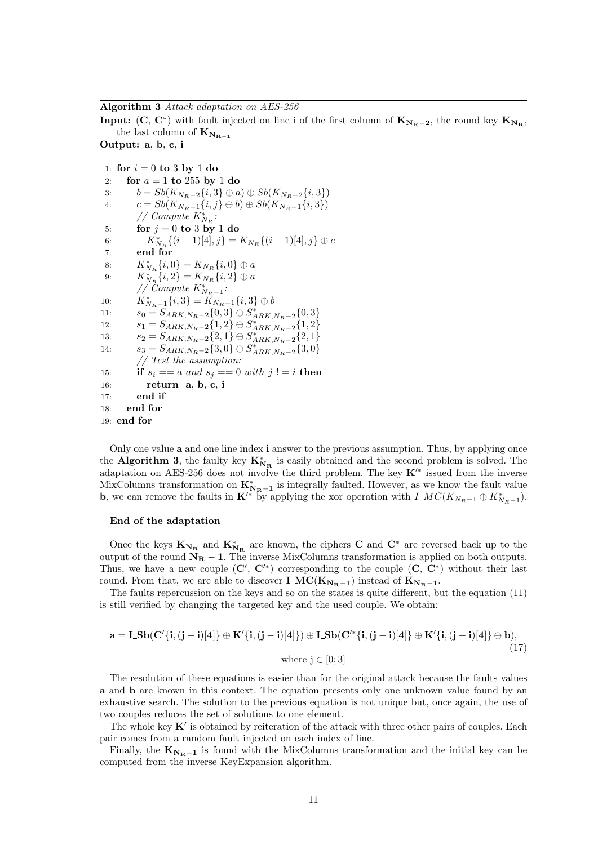**Algorithm 3** *Attack adaptation on AES-256*

**Input:**  $(C, C^*)$  with fault injected on line i of the first column of  $K_{N_R-2}$ , the round key  $K_{N_R}$ , the last column of  $\mathbf{K}_{\mathbf{N}_{\mathbf{R}-1}}$ 

**Output: a**, **b**, **c**, **i**

1: **for**  $i = 0$  **to** 3 **by** 1 **do** 2: **for** *a* = 1 **to** 255 **by** 1 **do** 3:  $b = Sb(K_{N_R-2}{i, 3} \oplus a) \oplus Sb(K_{N_R-2}{i, 3})$ <br>4:  $c = Sb(K_{N_R-1}{i, j} \oplus b) \oplus Sb(K_{N_R-1}{i, 3})$  $c = Sb(K_{N_R-1}{i, j} \oplus b) \oplus Sb(K_{N_R-1}{i, 3})$  $\frac{1}{\sqrt{2}}$  *Compute*  $K_{N_R}^*$ : 5: **for**  $j = 0$  **to** 3 **by** 1 **do** 6:  $K_{N_R}^* \{(i-1)[4], j\} = K_{N_R} \{(i-1)[4], j\} \oplus c$ 7: **end for** 8:  $K_{N_R}^* \{i, 0\} = K_{N_R} \{i, 0\} \oplus a$ 9:  $K_{N_R}^* \{i, 2\} = K_{N_R} \{i, 2\} \oplus a$ *// Compute*  $K_{N_R-1}^*$ : 10:  $K_{N_R-1}^* \{i,3\} = K_{N_R-1} \{i,3\} \oplus b$ 11:  $s_0 = S_{ARK,N_R-2}\{0,3\} \oplus S_{ARK,N_R-2}^*\{0,3\}$ 12:  $s_1 = S_{ARK,N_R-2} \{1, 2\} \oplus S_{ARK,N_R-2} \{1, 2\}$ <br>  $s_2 = S_{ARK,N_R-2} \{1, 2\}$ 13:  $s_2 = S_{ARK,N_R-2} \{2, 1\} \oplus S_{ARK,N_R-2}^* \{2, 1\}$ 14:  $s_3 = S_{ARK,N_R-2} \{3,0\} \oplus S_{ARK,N_R-2}^* \{3,0\}$ *// Test the assumption:* 15: **if**  $s_i == a$  and  $s_j == 0$  with  $j! = i$  then 16: **return a**, **b**, **c**, **i** 17: **end if** 18: **end for** 19: **end for**

Only one value **a** and one line index **i** answer to the previous assumption. Thus, by applying once the **Algorithm 3**, the faulty key  $K^*_{N_R}$  is easily obtained and the second problem is solved. The adaptation on AES-256 does not involve the third problem. The key **K***′∗* issued from the inverse MixColumns transformation on  $\mathbf{K}_{N_{\text{R}}-1}^*$  is integrally faulted. However, as we know the fault value **b**, we can remove the faults in  $\mathbf{K}'^*$  by applying the xor operation with  $I\_MC(K_{N_R-1} \oplus K_{N_R-1}^*)$ .

#### **End of the adaptation**

Once the keys  $K_{N_R}$  and  $K_{N_R}^*$  are known, the ciphers **C** and  $C^*$  are reversed back up to the output of the round **N<sup>R</sup>** *−* **1**. The inverse MixColumns transformation is applied on both outputs. Thus, we have a new couple  $(C', C'^*)$  corresponding to the couple  $(C, C^*)$  without their last round. From that, we are able to discover  $\mathbf{LMC}(\mathbf{K}_{N_{\mathbf{R}}-1})$  instead of  $\mathbf{K}_{N_{\mathbf{R}}-1}$ .

The faults repercussion on the keys and so on the states is quite different, but the equation (11) is still verified by changing the targeted key and the used couple. We obtain:

$$
\mathbf{a} = \mathbf{L} \mathbf{S} \mathbf{b} (\mathbf{C}'\{\mathbf{i}, (\mathbf{j} - \mathbf{i})[4]\} \oplus \mathbf{K}'\{\mathbf{i}, (\mathbf{j} - \mathbf{i})[4]\}) \oplus \mathbf{L} \mathbf{S} \mathbf{b} (\mathbf{C}'^*\{\mathbf{i}, (\mathbf{j} - \mathbf{i})[4]\} \oplus \mathbf{K}'\{\mathbf{i}, (\mathbf{j} - \mathbf{i})[4]\} \oplus \mathbf{b}),
$$
\nwhere  $\mathbf{j} \in [0; 3]$  (17)

The resolution of these equations is easier than for the original attack because the faults values **a** and **b** are known in this context. The equation presents only one unknown value found by an exhaustive search. The solution to the previous equation is not unique but, once again, the use of two couples reduces the set of solutions to one element.

The whole key **K***′* is obtained by reiteration of the attack with three other pairs of couples. Each pair comes from a random fault injected on each index of line.

Finally, the  $K_{N_R-1}$  is found with the MixColumns transformation and the initial key can be computed from the inverse KeyExpansion algorithm.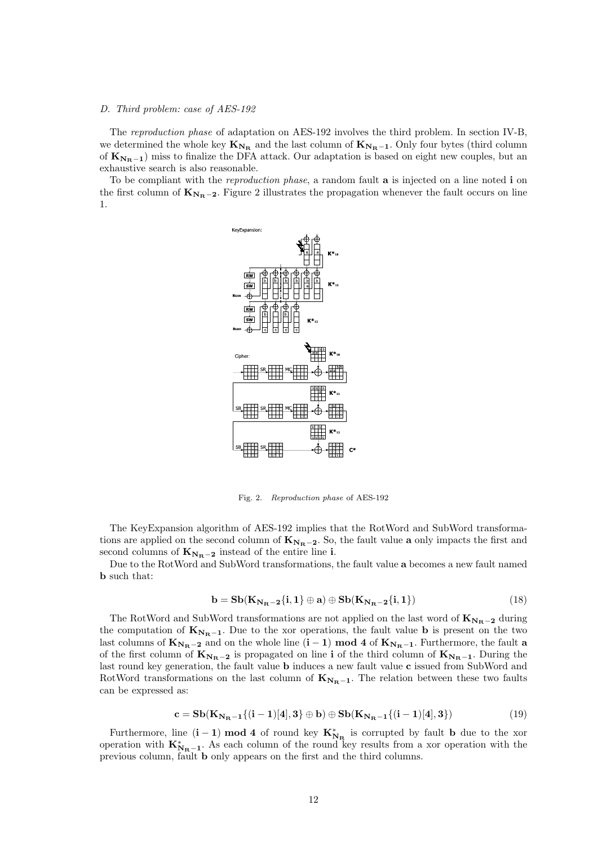## *D. Third problem: case of AES-192*

The *reproduction phase* of adaptation on AES-192 involves the third problem. In section IV-B, we determined the whole key  $K_{N_R}$  and the last column of  $K_{N_R-1}$ . Only four bytes (third column of  $K_{N_R-1}$ ) miss to finalize the DFA attack. Our adaptation is based on eight new couples, but an exhaustive search is also reasonable.

To be compliant with the *reproduction phase*, a random fault **a** is injected on a line noted **i** on the first column of  $\mathbf{K}_{N_{\mathbf{R}}-\mathbf{2}}$ . Figure 2 illustrates the propagation whenever the fault occurs on line 1.



Fig. 2. *Reproduction phase* of AES-192

The KeyExpansion algorithm of AES-192 implies that the RotWord and SubWord transformations are applied on the second column of **K<sup>N</sup>R***−***<sup>2</sup>**. So, the fault value **a** only impacts the first and second columns of  $K_{N_R-2}$  instead of the entire line **i**.

Due to the RotWord and SubWord transformations, the fault value **a** becomes a new fault named **b** such that:

$$
\mathbf{b} = \mathbf{S}\mathbf{b}(\mathbf{K}_{\mathbf{N}_{\mathbf{R}} - 2}\{\mathbf{i}, 1\} \oplus \mathbf{a}) \oplus \mathbf{S}\mathbf{b}(\mathbf{K}_{\mathbf{N}_{\mathbf{R}} - 2}\{\mathbf{i}, 1\})
$$
(18)

The RotWord and SubWord transformations are not applied on the last word of  $K_{N_R-2}$  during the computation of  $\mathbf{K}_{N_{\mathbf{R}}-1}$ . Due to the xor operations, the fault value **b** is present on the two last columns of  $\mathbf{K}_{N_{\mathbf{R}}-2}$  and on the whole line  $(i-1) \text{ mod } 4$  of  $\mathbf{K}_{N_{\mathbf{R}}-1}$ . Furthermore, the fault **a** of the first column of  $K_{N_R-2}$  is propagated on line **i** of the third column of  $K_{N_R-1}$ . During the last round key generation, the fault value **b** induces a new fault value **c** issued from SubWord and RotWord transformations on the last column of  $K_{N<sub>R</sub>−1}$ . The relation between these two faults can be expressed as:

$$
\mathbf{c} = \mathbf{S}\mathbf{b}(\mathbf{K}_{\mathbf{N}_{\mathbf{R}}-1}\{(\mathbf{i}-1)[4],3\} \oplus \mathbf{b}) \oplus \mathbf{S}\mathbf{b}(\mathbf{K}_{\mathbf{N}_{\mathbf{R}}-1}\{(\mathbf{i}-1)[4],3\})
$$
(19)

Furthermore, line  $(i - 1)$  **mod 4** of round key  $K_{N_R}^*$  is corrupted by fault **b** due to the xor operation with  $K_{N_{R}-1}^{*}$ . As each column of the round key results from a xor operation with the previous column, fault **b** only appears on the first and the third columns.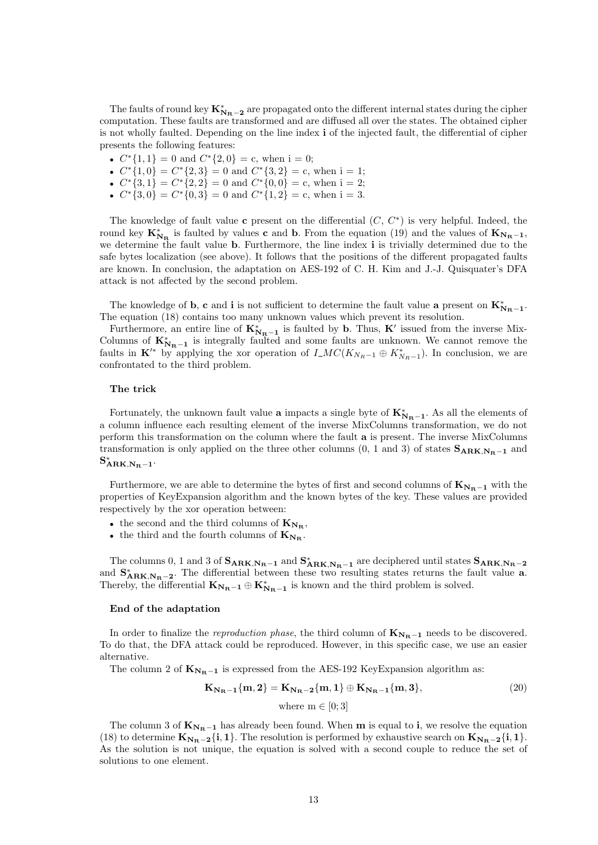The faults of round key  $K_{N_{R}-2}^{*}$  are propagated onto the different internal states during the cipher computation. These faults are transformed and are diffused all over the states. The obtained cipher is not wholly faulted. Depending on the line index **i** of the injected fault, the differential of cipher presents the following features:

- $C^*$ {1, 1} = 0 and  $C^*$ {2, 0} = c, when i = 0;
- $C^*{1,0} = C^*{2,3} = 0$  and  $C^*{3,2} = c$ , when i = 1;
- $C^* \{3, 1\} = C^* \{2, 2\} = 0$  and  $C^* \{0, 0\} = c$ , when i = 2;
- $C^*$ {3,0} =  $C^*$ {0,3} = 0 and  $C^*$ {1,2} = c, when i = 3.

The knowledge of fault value **c** present on the differential (*C*, *C ∗* ) is very helpful. Indeed, the round key  $K_{N_R}^*$  is faulted by values **c** and **b**. From the equation (19) and the values of  $K_{N_R-1}$ , we determine the fault value **b**. Furthermore, the line index **i** is trivially determined due to the safe bytes localization (see above). It follows that the positions of the different propagated faults are known. In conclusion, the adaptation on AES-192 of C. H. Kim and J.-J. Quisquater's DFA attack is not affected by the second problem.

The knowledge of **b**, **c** and **i** is not sufficient to determine the fault value **a** present on  $K_{N_{R}-1}^{*}$ . The equation (18) contains too many unknown values which prevent its resolution.

Furthermore, an entire line of  $\mathbf{K}_{\mathbf{R}_{\mathbf{R}}-1}^*$  is faulted by **b**. Thus,  $\mathbf{K}'$  issued from the inverse Mix-Columns of  $K_{N_{R}-1}^{*}$  is integrally faulted and some faults are unknown. We cannot remove the faults in  $\mathbf{K}'^*$  by applying the xor operation of  $I \_MC(K_{N_R-1} \oplus K_{N_R-1}^*)$ . In conclusion, we are confrontated to the third problem.

## **The trick**

Fortunately, the unknown fault value **a** impacts a single byte of  $\mathbf{K}_{N_{\mathbf{R}}-1}^*$ . As all the elements of a column influence each resulting element of the inverse MixColumns transformation, we do not perform this transformation on the column where the fault **a** is present. The inverse MixColumns transformation is only applied on the three other columns (0, 1 and 3) of states  $S_{ARK,N_R-1}$  and  $\mathbf{S}_{\text{ARK},\text{N}_\text{R}\text{--}1}^{*}$ 

Furthermore, we are able to determine the bytes of first and second columns of  $K_{NR-1}$  with the properties of KeyExpansion algorithm and the known bytes of the key. These values are provided respectively by the xor operation between:

- the second and the third columns of  $K_{N_{\rm B}}$ ,
- the third and the fourth columns of  $K_{N_R}$ .

The columns 0, 1 and 3 of  $S_{ARK,N_R-1}$  and  $S_{ARK,N_R-1}^*$  are deciphered until states  $S_{ARK,N_R-2}$ and  $S_{ARK,N_R-2}^*$ . The differential between these two resulting states returns the fault value **a**. Thereby, the differential  $\mathbf{K}_{N_{\mathbf{R}}-1} \oplus \mathbf{K}_{N_{\mathbf{R}}-1}^*$  is known and the third problem is solved.

#### **End of the adaptation**

In order to finalize the *reproduction phase*, the third column of  $\mathbf{K}_{N_{\mathbf{R}}-1}$  needs to be discovered. To do that, the DFA attack could be reproduced. However, in this specific case, we use an easier alternative.

The column 2 of  $K_{N_R-1}$  is expressed from the AES-192 KeyExpansion algorithm as:

$$
\mathbf{K}_{\mathbf{N}_{\mathbf{R}}-1}\{\mathbf{m},\mathbf{2}\} = \mathbf{K}_{\mathbf{N}_{\mathbf{R}}-2}\{\mathbf{m},\mathbf{1}\} \oplus \mathbf{K}_{\mathbf{N}_{\mathbf{R}}-1}\{\mathbf{m},\mathbf{3}\},\tag{20}
$$
  
where  $\mathbf{m} \in [0;3]$ 

The column 3 of  $\mathbf{K}_{N_{\mathbf{R}}-1}$  has already been found. When **m** is equal to **i**, we resolve the equation (18) to determine  $K_{N_R-2}\{i,1\}$ . The resolution is performed by exhaustive search on  $K_{N_R-2}\{i,1\}$ . As the solution is not unique, the equation is solved with a second couple to reduce the set of solutions to one element.